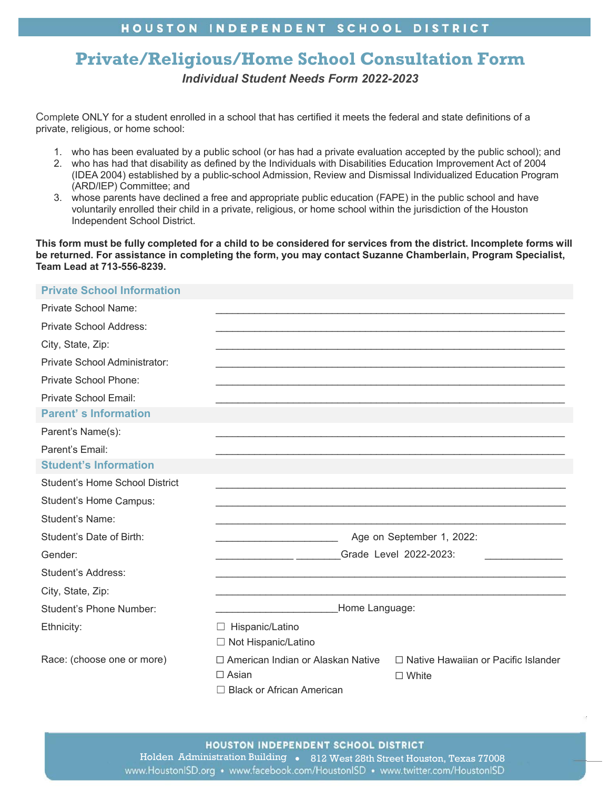## HOUSTON INDEPENDENT SCHOOL DISTRICT

# **Private/Religious/Home School Consultation Form**  *Individual Student Needs Form 2022-2023*

Complete ONLY for a student enrolled in a school that has certified it meets the federal and state definitions of a private, religious, or home school:

- 1. who has been evaluated by a public school (or has had a private evaluation accepted by the public school); and
- 2. who has had that disability as defined by the Individuals with Disabilities Education Improvement Act of 2004 (IDEA 2004) established by a public-school Admission, Review and Dismissal Individualized Education Program (ARD/IEP) Committee; and
- 3. whose parents have declined a free and appropriate public education (FAPE) in the public school and have voluntarily enrolled their child in a private, religious, or home school within the jurisdiction of the Houston Independent School District.

**This form must be fully completed for a child to be considered for services from the district. Incomplete forms will be returned. For assistance in completing the form, you may contact Suzanne Chamberlain, Program Specialist, Team Lead at 713-556-8239.** 

### **Private School Information**

| Private School Name:           |                                                         |                                            |
|--------------------------------|---------------------------------------------------------|--------------------------------------------|
| Private School Address:        |                                                         |                                            |
| City, State, Zip:              |                                                         |                                            |
| Private School Administrator:  |                                                         |                                            |
| Private School Phone:          |                                                         |                                            |
| Private School Email:          |                                                         |                                            |
| <b>Parent's Information</b>    |                                                         |                                            |
| Parent's Name(s):              |                                                         |                                            |
| Parent's Email:                |                                                         |                                            |
| <b>Student's Information</b>   |                                                         |                                            |
| Student's Home School District |                                                         |                                            |
| Student's Home Campus:         |                                                         |                                            |
| <b>Student's Name:</b>         |                                                         |                                            |
| Student's Date of Birth:       | Age on September 1, 2022:                               |                                            |
| Gender:                        | Grade Level 2022-2023:                                  |                                            |
| Student's Address:             |                                                         |                                            |
| City, State, Zip:              |                                                         |                                            |
| <b>Student's Phone Number:</b> | Home Language:                                          |                                            |
| Ethnicity:                     | Hispanic/Latino<br>$\Box$<br>$\Box$ Not Hispanic/Latino |                                            |
| Race: (choose one or more)     | □ American Indian or Alaskan Native                     | $\Box$ Native Hawaiian or Pacific Islander |
|                                | $\Box$ Asian                                            | $\Box$ White                               |
|                                | $\Box$ Black or African American                        |                                            |

Holden Administration Building • 812 West 28th Street Houston, Texas 77008 www.HoustonISD.org • www.facebook.com/HoustonISD • www.twitter.com/HoustonISD

1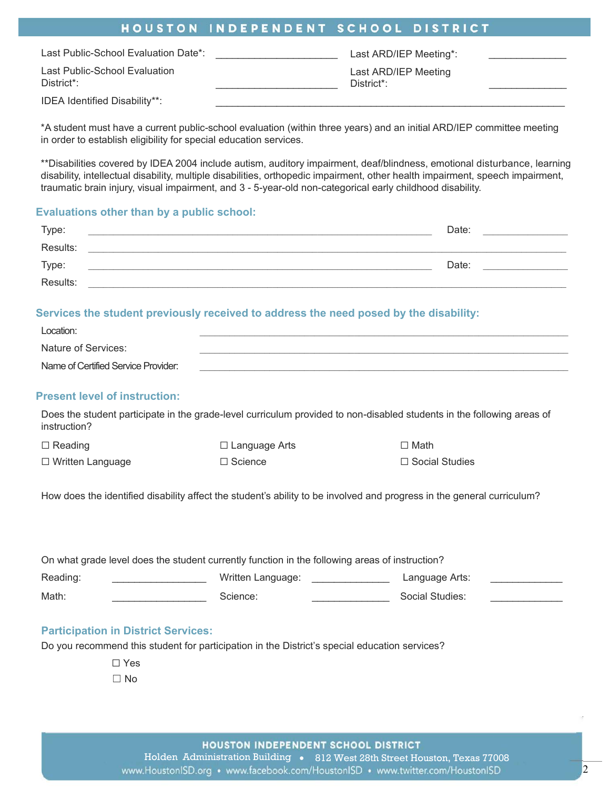## HOUSTON INDEPENDENT SCHOOL DISTRICT

| Last Public-School Evaluation Date*:                     | Last ARD/IEP Meeting*:             |  |
|----------------------------------------------------------|------------------------------------|--|
| Last Public-School Evaluation<br>District <sup>*</sup> : | Last ARD/IEP Meeting<br>District*: |  |
| IDEA Identified Disability**:                            |                                    |  |

\*A student must have a current public-school evaluation (within three years) and an initial ARD/IEP committee meeting in order to establish eligibility for special education services.

\*\*Disabilities covered by IDEA 2004 include autism, auditory impairment, deaf/blindness, emotional disturbance, learning disability, intellectual disability, multiple disabilities, orthopedic impairment, other health impairment, speech impairment, traumatic brain injury, visual impairment, and 3 - 5-year-old non-categorical early childhood disability.

#### **Evaluations other than by a public school:**

| Type:    | Date: |       |
|----------|-------|-------|
| Results: |       |       |
| Type:    |       | Date: |
| Results: |       |       |

#### **Services the student previously received to address the need posed by the disability:**

| Location:                           |  |
|-------------------------------------|--|
| Nature of Services:                 |  |
| Name of Certified Service Provider: |  |

#### **Present level of instruction:**

Does the student participate in the grade-level curriculum provided to non-disabled students in the following areas of instruction?

| $\Box$ Reading          | □ Language Arts | $\Box$ Math           |
|-------------------------|-----------------|-----------------------|
| $\Box$ Written Language | $\Box$ Science  | $\Box$ Social Studies |

How does the identified disability affect the student's ability to be involved and progress in the general curriculum?

| On what grade level does the student currently function in the following areas of instruction? |  |                   |  |                 |  |
|------------------------------------------------------------------------------------------------|--|-------------------|--|-----------------|--|
| Reading:                                                                                       |  | Written Language: |  | Language Arts:  |  |
| Math:                                                                                          |  | Science:          |  | Social Studies: |  |

#### **Participation in District Services:**

Do you recommend this student for participation in the District's special education services?

☐ Yes

 $\Box$  No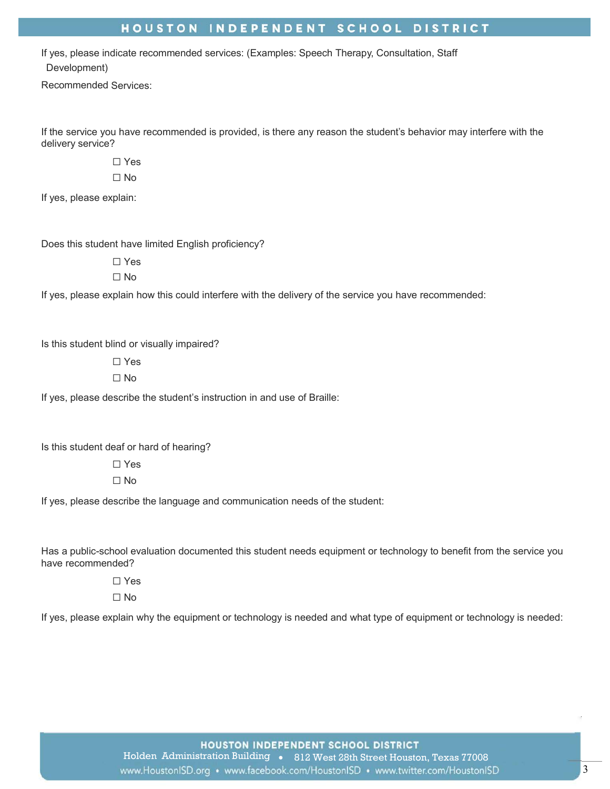## HOUSTON INDEPENDENT SCHOOL DISTRICT

If yes, please indicate recommended services: (Examples: Speech Therapy, Consultation, Staff Development)

Recommended Services:

If the service you have recommended is provided, is there any reason the student's behavior may interfere with the delivery service?

☐ Yes

☐ No

If yes, please explain:

Does this student have limited English proficiency?

☐ Yes ☐ No

If yes, please explain how this could interfere with the delivery of the service you have recommended:

Is this student blind or visually impaired?

☐ Yes

 $\Box$  No

If yes, please describe the student's instruction in and use of Braille:

Is this student deaf or hard of hearing?

☐ Yes ☐ No

If yes, please describe the language and communication needs of the student:

Has a public-school evaluation documented this student needs equipment or technology to benefit from the service you have recommended?

☐ Yes

☐ No

If yes, please explain why the equipment or technology is needed and what type of equipment or technology is needed:

HOUSTON INDEPENDENT SCHOOL DISTRICT Holden Administration Building • 812 West 28th Street Houston, Texas 77008 www.HoustonISD.org • www.facebook.com/HoustonISD • www.twitter.com/HoustonISD